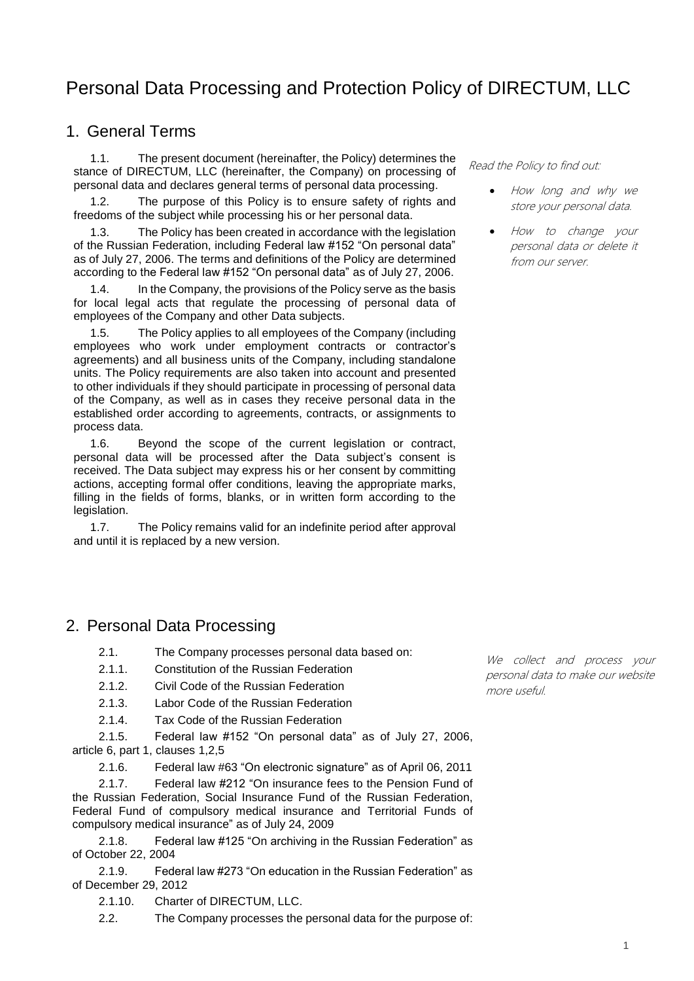# Personal Data Processing and Protection Policy of DIRECTUM, LLC

#### 1. General Terms

1.1. The present document (hereinafter, the Policy) determines the stance of DIRECTUM, LLC (hereinafter, the Company) on processing of personal data and declares general terms of personal data processing.

1.2. The purpose of this Policy is to ensure safety of rights and freedoms of the subject while processing his or her personal data.

1.3. The Policy has been created in accordance with the legislation of the Russian Federation, including Federal law #152 "On personal data" as of July 27, 2006. The terms and definitions of the Policy are determined according to the Federal law #152 "On personal data" as of July 27, 2006.

1.4. In the Company, the provisions of the Policy serve as the basis for local legal acts that regulate the processing of personal data of employees of the Company and other Data subjects.

The Policy applies to all employees of the Company (including employees who work under employment contracts or contractor's agreements) and all business units of the Company, including standalone units. The Policy requirements are also taken into account and presented to other individuals if they should participate in processing of personal data of the Company, as well as in cases they receive personal data in the established order according to agreements, contracts, or assignments to process data.

1.6. Beyond the scope of the current legislation or contract, personal data will be processed after the Data subject's consent is received. The Data subject may express his or her consent by committing actions, accepting formal offer conditions, leaving the appropriate marks, filling in the fields of forms, blanks, or in written form according to the legislation.

1.7. The Policy remains valid for an indefinite period after approval and until it is replaced by a new version.

### 2. Personal Data Processing

- 2.1. The Company processes personal data based on:
- 2.1.1. Constitution of the Russian Federation
- 2.1.2. Civil Code of the Russian Federation
- 2.1.3. Labor Code of the Russian Federation
- 2.1.4. Tax Code of the Russian Federation

2.1.5. Federal law #152 "On personal data" as of July 27, 2006, article 6, part 1, clauses 1,2,5

2.1.6. Federal law #63 "On electronic signature" as of April 06, 2011

2.1.7. Federal law #212 "On insurance fees to the Pension Fund of the Russian Federation, Social Insurance Fund of the Russian Federation, Federal Fund of compulsory medical insurance and Territorial Funds of compulsory medical insurance" as of July 24, 2009

2.1.8. Federal law #125 "On archiving in the Russian Federation" as of October 22, 2004

2.1.9. Federal law #273 "On education in the Russian Federation" as of December 29, 2012

2.1.10. Charter of DIRECTUM, LLC.

2.2. The Company processes the personal data for the purpose of:

Read the Policy to find out:

- How long and why we store your personal data.
- How to change your personal data or delete it from our server.

We collect and process your personal data to make our website more useful.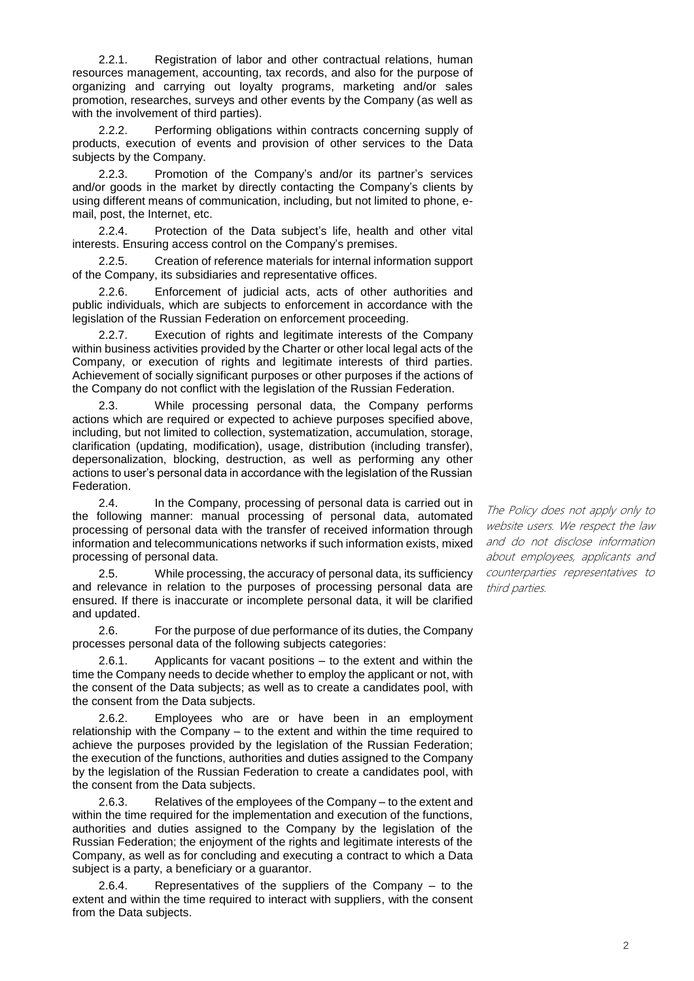2.2.1. Registration of labor and other contractual relations, human resources management, accounting, tax records, and also for the purpose of organizing and carrying out loyalty programs, marketing and/or sales promotion, researches, surveys and other events by the Company (as well as with the involvement of third parties).

2.2.2. Performing obligations within contracts concerning supply of products, execution of events and provision of other services to the Data subjects by the Company.

2.2.3. Promotion of the Company's and/or its partner's services and/or goods in the market by directly contacting the Company's clients by using different means of communication, including, but not limited to phone, email, post, the Internet, etc.

2.2.4. Protection of the Data subject's life, health and other vital interests. Ensuring access control on the Company's premises.

2.2.5. Creation of reference materials for internal information support of the Company, its subsidiaries and representative offices.

2.2.6. Enforcement of judicial acts, acts of other authorities and public individuals, which are subjects to enforcement in accordance with the legislation of the Russian Federation on enforcement proceeding.

2.2.7. Execution of rights and legitimate interests of the Company within business activities provided by the Charter or other local legal acts of the Company, or execution of rights and legitimate interests of third parties. Achievement of socially significant purposes or other purposes if the actions of the Company do not conflict with the legislation of the Russian Federation.

2.3. While processing personal data, the Company performs actions which are required or expected to achieve purposes specified above, including, but not limited to collection, systematization, accumulation, storage, clarification (updating, modification), usage, distribution (including transfer), depersonalization, blocking, destruction, as well as performing any other actions to user's personal data in accordance with the legislation of the Russian Federation.

2.4. In the Company, processing of personal data is carried out in the following manner: manual processing of personal data, automated processing of personal data with the transfer of received information through information and telecommunications networks if such information exists, mixed processing of personal data.

2.5. While processing, the accuracy of personal data, its sufficiency and relevance in relation to the purposes of processing personal data are ensured. If there is inaccurate or incomplete personal data, it will be clarified and updated.

2.6. For the purpose of due performance of its duties, the Company processes personal data of the following subjects categories:

2.6.1. Applicants for vacant positions – to the extent and within the time the Company needs to decide whether to employ the applicant or not, with the consent of the Data subjects; as well as to create a candidates pool, with the consent from the Data subjects.

2.6.2. Employees who are or have been in an employment relationship with the Company – to the extent and within the time required to achieve the purposes provided by the legislation of the Russian Federation; the execution of the functions, authorities and duties assigned to the Company by the legislation of the Russian Federation to create a candidates pool, with the consent from the Data subjects.

2.6.3. Relatives of the employees of the Company – to the extent and within the time required for the implementation and execution of the functions, authorities and duties assigned to the Company by the legislation of the Russian Federation; the enjoyment of the rights and legitimate interests of the Company, as well as for concluding and executing a contract to which a Data subject is a party, a beneficiary or a guarantor.

Representatives of the suppliers of the Company  $-$  to the extent and within the time required to interact with suppliers, with the consent from the Data subjects.

The Policy does not apply only to website users. We respect the law and do not disclose information about employees, applicants and counterparties representatives to third parties.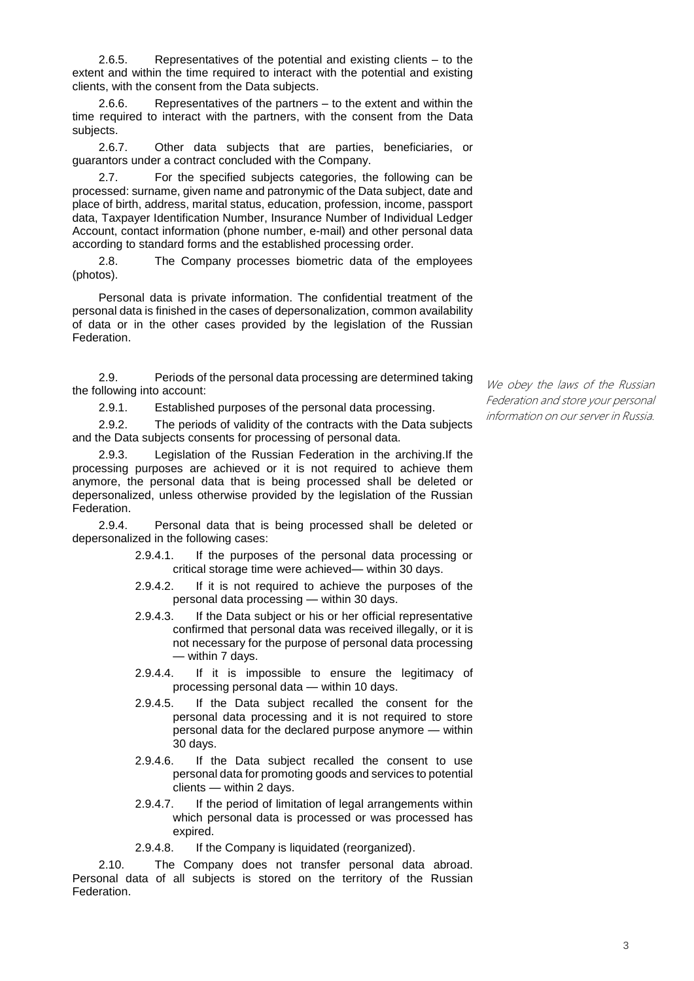2.6.5. Representatives of the potential and existing clients – to the extent and within the time required to interact with the potential and existing clients, with the consent from the Data subjects.

2.6.6. Representatives of the partners – to the extent and within the time required to interact with the partners, with the consent from the Data subjects.

2.6.7. Other data subjects that are parties, beneficiaries, or guarantors under a contract concluded with the Company.

2.7. For the specified subjects categories, the following can be processed: surname, given name and patronymic of the Data subject, date and place of birth, address, marital status, education, profession, income, passport data, Taxpayer Identification Number, Insurance Number of Individual Ledger Account, contact information (phone number, e-mail) and other personal data according to standard forms and the established processing order.

2.8. The Company processes biometric data of the employees (photos).

Personal data is private information. The confidential treatment of the personal data is finished in the cases of depersonalization, common availability of data or in the other cases provided by the legislation of the Russian Federation.

2.9. Periods of the personal data processing are determined taking the following into account:

2.9.1. Established purposes of the personal data processing.

2.9.2. The periods of validity of the contracts with the Data subjects and the Data subjects consents for processing of personal data.

2.9.3. Legislation of the Russian Federation in the archiving.If the processing purposes are achieved or it is not required to achieve them anymore, the personal data that is being processed shall be deleted or depersonalized, unless otherwise provided by the legislation of the Russian Federation.

2.9.4. Personal data that is being processed shall be deleted or depersonalized in the following cases:

- 2.9.4.1. If the purposes of the personal data processing or critical storage time were achieved— within 30 days.
- 2.9.4.2. If it is not required to achieve the purposes of the personal data processing — within 30 days.
- 2.9.4.3. If the Data subject or his or her official representative confirmed that personal data was received illegally, or it is not necessary for the purpose of personal data processing — within 7 days.
- 2.9.4.4. If it is impossible to ensure the legitimacy of processing personal data — within 10 days.
- 2.9.4.5. If the Data subject recalled the consent for the personal data processing and it is not required to store personal data for the declared purpose anymore — within 30 days.
- 2.9.4.6. If the Data subject recalled the consent to use personal data for promoting goods and services to potential clients — within 2 days.
- 2.9.4.7. If the period of limitation of legal arrangements within which personal data is processed or was processed has expired.
- 2.9.4.8. If the Company is liquidated (reorganized).

2.10. The Company does not transfer personal data abroad. Personal data of all subjects is stored on the territory of the Russian Federation.

We obey the laws of the Russian Federation and store your personal information on our server in Russia.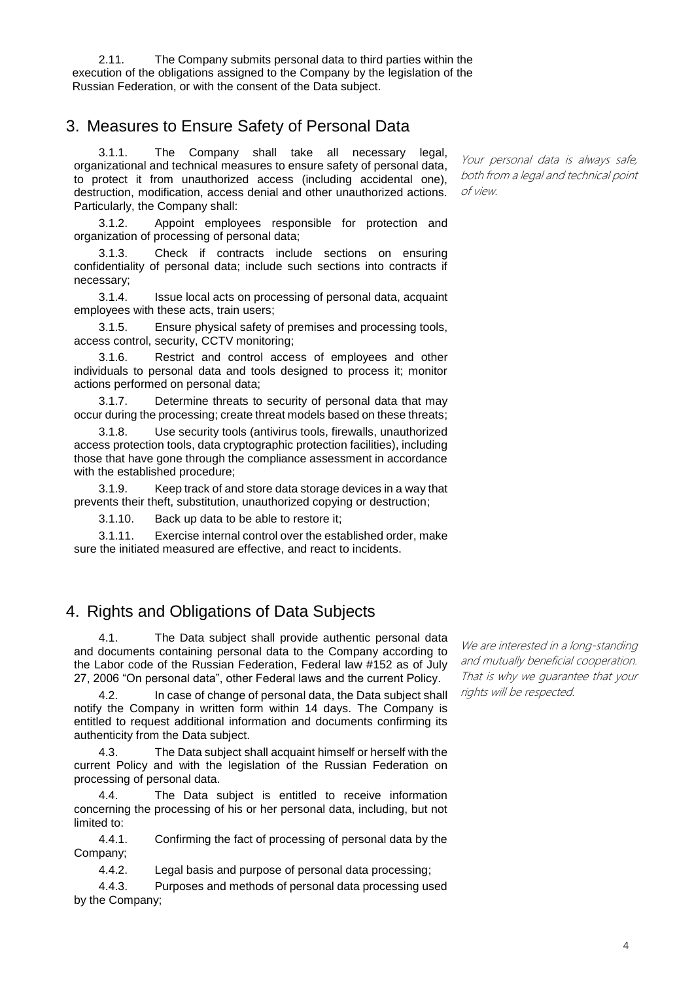2.11. The Company submits personal data to third parties within the execution of the obligations assigned to the Company by the legislation of the Russian Federation, or with the consent of the Data subject.

### 3. Measures to Ensure Safety of Personal Data

3.1.1. The Company shall take all necessary legal, organizational and technical measures to ensure safety of personal data, to protect it from unauthorized access (including accidental one), destruction, modification, access denial and other unauthorized actions. Particularly, the Company shall:

3.1.2. Appoint employees responsible for protection and organization of processing of personal data;

3.1.3. Check if contracts include sections on ensuring confidentiality of personal data; include such sections into contracts if necessary;

3.1.4. Issue local acts on processing of personal data, acquaint employees with these acts, train users;

3.1.5. Ensure physical safety of premises and processing tools, access control, security, CCTV monitoring;

3.1.6. Restrict and control access of employees and other individuals to personal data and tools designed to process it; monitor actions performed on personal data;

3.1.7. Determine threats to security of personal data that may occur during the processing; create threat models based on these threats;

3.1.8. Use security tools (antivirus tools, firewalls, unauthorized access protection tools, data cryptographic protection facilities), including those that have gone through the compliance assessment in accordance with the established procedure;

3.1.9. Keep track of and store data storage devices in a way that prevents their theft, substitution, unauthorized copying or destruction;

3.1.10. Back up data to be able to restore it;

3.1.11. Exercise internal control over the established order, make sure the initiated measured are effective, and react to incidents.

## 4. Rights and Obligations of Data Subjects

4.1. The Data subject shall provide authentic personal data and documents containing personal data to the Company according to the Labor code of the Russian Federation, Federal law #152 as of July 27, 2006 "On personal data", other Federal laws and the current Policy.

4.2. In case of change of personal data, the Data subject shall notify the Company in written form within 14 days. The Company is entitled to request additional information and documents confirming its authenticity from the Data subject.

4.3. The Data subject shall acquaint himself or herself with the current Policy and with the legislation of the Russian Federation on processing of personal data.

4.4. The Data subject is entitled to receive information concerning the processing of his or her personal data, including, but not limited to:

4.4.1. Confirming the fact of processing of personal data by the Company;

4.4.2. Legal basis and purpose of personal data processing;

4.4.3. Purposes and methods of personal data processing used by the Company;

We are interested in a long-standing and mutually beneficial cooperation. That is why we guarantee that your rights will be respected.

Your personal data is always safe, both from a legal and technical point of view.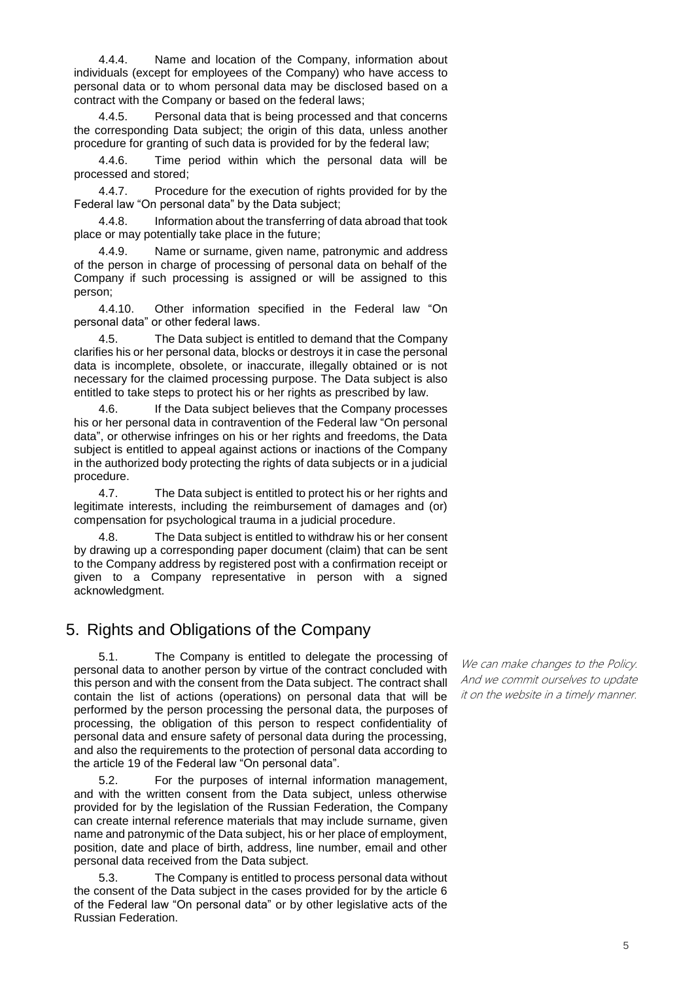4.4.4. Name and location of the Company, information about individuals (except for employees of the Company) who have access to personal data or to whom personal data may be disclosed based on a contract with the Company or based on the federal laws;

4.4.5. Personal data that is being processed and that concerns the corresponding Data subject; the origin of this data, unless another procedure for granting of such data is provided for by the federal law;

4.4.6. Time period within which the personal data will be processed and stored;

4.4.7. Procedure for the execution of rights provided for by the Federal law "On personal data" by the Data subject;

4.4.8. Information about the transferring of data abroad that took place or may potentially take place in the future;

4.4.9. Name or surname, given name, patronymic and address of the person in charge of processing of personal data on behalf of the Company if such processing is assigned or will be assigned to this person;

4.4.10. Other information specified in the Federal law "On personal data" or other federal laws.

4.5. The Data subject is entitled to demand that the Company clarifies his or her personal data, blocks or destroys it in case the personal data is incomplete, obsolete, or inaccurate, illegally obtained or is not necessary for the claimed processing purpose. The Data subject is also entitled to take steps to protect his or her rights as prescribed by law.

4.6. If the Data subject believes that the Company processes his or her personal data in contravention of the Federal law "On personal data", or otherwise infringes on his or her rights and freedoms, the Data subject is entitled to appeal against actions or inactions of the Company in the authorized body protecting the rights of data subjects or in a judicial procedure.

4.7. The Data subject is entitled to protect his or her rights and legitimate interests, including the reimbursement of damages and (or) compensation for psychological trauma in a judicial procedure.

4.8. The Data subject is entitled to withdraw his or her consent by drawing up a corresponding paper document (claim) that can be sent to the Company address by registered post with a confirmation receipt or given to a Company representative in person with a signed acknowledgment.

## 5. Rights and Obligations of the Company

5.1. The Company is entitled to delegate the processing of personal data to another person by virtue of the contract concluded with this person and with the consent from the Data subject. The contract shall contain the list of actions (operations) on personal data that will be performed by the person processing the personal data, the purposes of processing, the obligation of this person to respect confidentiality of personal data and ensure safety of personal data during the processing, and also the requirements to the protection of personal data according to the article 19 of the Federal law "On personal data".

5.2. For the purposes of internal information management, and with the written consent from the Data subject, unless otherwise provided for by the legislation of the Russian Federation, the Company can create internal reference materials that may include surname, given name and patronymic of the Data subject, his or her place of employment, position, date and place of birth, address, line number, email and other personal data received from the Data subject.

5.3. The Company is entitled to process personal data without the consent of the Data subject in the cases provided for by the article 6 of the Federal law "On personal data" or by other legislative acts of the Russian Federation.

We can make changes to the Policy. And we commit ourselves to update it on the website in a timely manner.